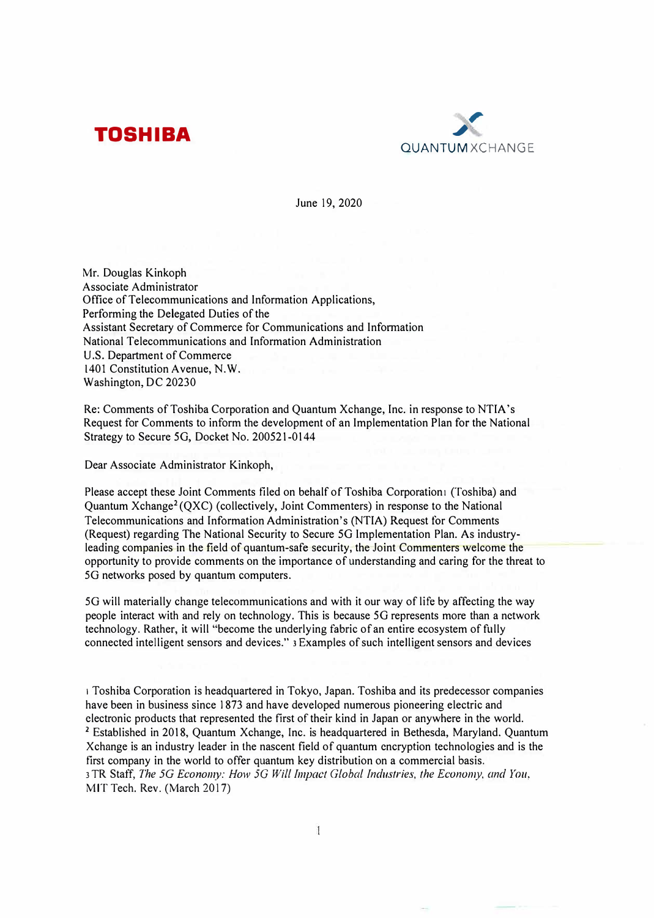



June 19, 2020

Mr. Douglas Kinkoph Associate Administrator Office of Telecommunications and Information Applications, Performing the Delegated Duties of the Assistant Secretary of Commerce for Communications and Infonnation National Telecommunications and Information Administration U.S. Department of Commerce 1401 Constitution Avenue, N.W. Washington, DC 20230

Re: Comments of Toshiba Corporation and Quantum Xchange, Inc. in response to NTIA's Request for Comments to inform the development of an Implementation Plan for the National Strategy to Secure 5G, Docket No. 200521-0144

Dear Associate Administrator Kinkoph,

Please accept these Joint Comments filed on behalf of Toshiba Corporationi (Toshiba) and Quantum Xchange<sup>2</sup> (QXC) (collectively, Joint Commenters) in response to the National Telecommunications and Information Administration's (NTIA) Request for Comments (Request) regarding The National Security to Secure 5G Implementation Plan. As industryleading companies in the field of quantum-safe security, the Joint Commenters welcome the opportunity to provide comments on the importance of understanding and caring for the threat to 5G networks posed by quantum computers.

5G will materially change telecommunications and with it our way of life by affecting the way people interact with and rely on technology. This is because 5G represents more than a network technology. Rather, it will "become the underlying fabric of an entire ecosystem of fully connected intelligent sensors and devices." 3 Examples of such intelligent sensors and devices

1 Toshiba Corporation is headquartered in Tokyo, Japan. Toshiba and its predecessor companies have been in business since 1873 and have developed numerous pioneering electric and electronic products that represented the first of their kind in Japan or anywhere in the world. **<sup>2</sup>**Established in 2018, Quantum Xchange, Inc. is headquartered in Bethesda, Maryland. Quantum Xchange is an industry leader in the nascent field of quantum encryption technologies and is the first company in the world to offer quantum key distribution on a commercial basis. 3 TR Staff, *The 5G Economy: How 5G Will Impact Global Industries, the Economy, and You,*  MIT Tech. Rev. (March 2017)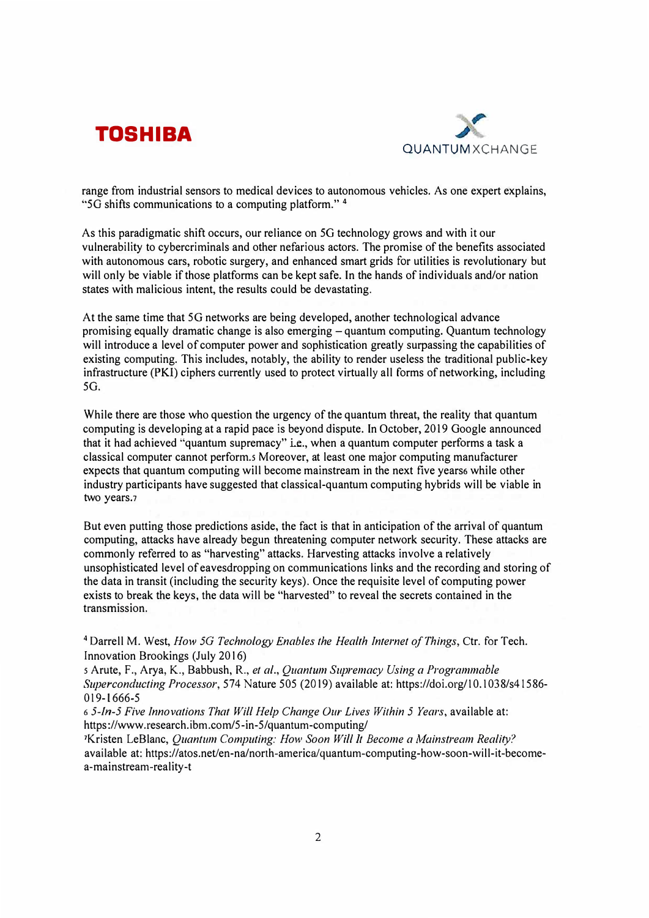



range from industrial sensors to medical devices to autonomous vehicles. As one expert explains, '"50 shifts communications to a computing platform." **<sup>4</sup>**

As this paradigmatic shift occurs, our reliance on 5G technology grows and with it our vulnerability to cybercriminals and other nefarious actors. The promise of the benefits associated with autonomous cars, robotic surgery, and enhanced smart grids for utilities is revolutionary but will only be viable if those platforms can be kept safe. In the hands of individuals and/or nation states with malicious intent, the results could be devastating.

At the same time that 5G networks are being developed, another technological advance promising equally dramatic change is also emerging – quantum computing. Quantum technology will introduce a level of computer power and sophistication greatly surpassing the capabilities of existing computing. This includes, notably, the ability to render useless the traditional public-key infrastructure (PKI) ciphers currently used to protect virtually all forms of networking, including 50.

While there are those who question the urgency of the quantum threat, the reality that quantum computing is developing at a rapid pace is beyond dispute. In October, 2019 Google announced that it had achieved "quantum supremacy" Le., when a quantum computer performs a task a classical computer cannot perform.s Moreover, at least one major computing manufacturer expects that quantum computing will become mainstream in the next five years while other industry participants have suggested that classical-quantum computing hybrids will be viable in two years.<sub>7</sub>

But even putting those predictions aside, the fact is that in anticipation of the arrival of quantum computing, attacks have already begun threatening computer network security. These attacks are commonly referred to as "harvesting" attacks. Harvesting attacks involve a relatively unsophisticated level of eavesdropping on communications links and the recording and storing of the data in transit (including the security keys). Once the requisite level of computing power exists to break the keys, the data will be "harvested" to reveal the secrets contained in the transmission.

<sup>4</sup>Darrell M. West, *How 5G Technology Enables the Health Internet of Things,* Ctr. for Tech. Innovation Brookings (July 2016)

s Arute, F., Arya, K., Babbush, R., *et al., Quantum Supremacy Using a Programmable Superconducting Processor,* 574 Nature 505 (2019) available at: https://doi.org/10.1038/s4 l 586- 019-1666-5

<sup>6</sup>*5-ln-5 Five Innovations That Will Help Change Our Lives Within 5 Years,* available at: https://www.research.ibm.com/5-in-5/quantum-computing/

<sup>1</sup>Kristen LeBlanc, *Quantum Computing: How Soon Will It Become a Mainstream Reality?* available at: https://atos.net/en-na/north-america/quantum-computing-how-soon-will-it-becomea-mainstream-reality-t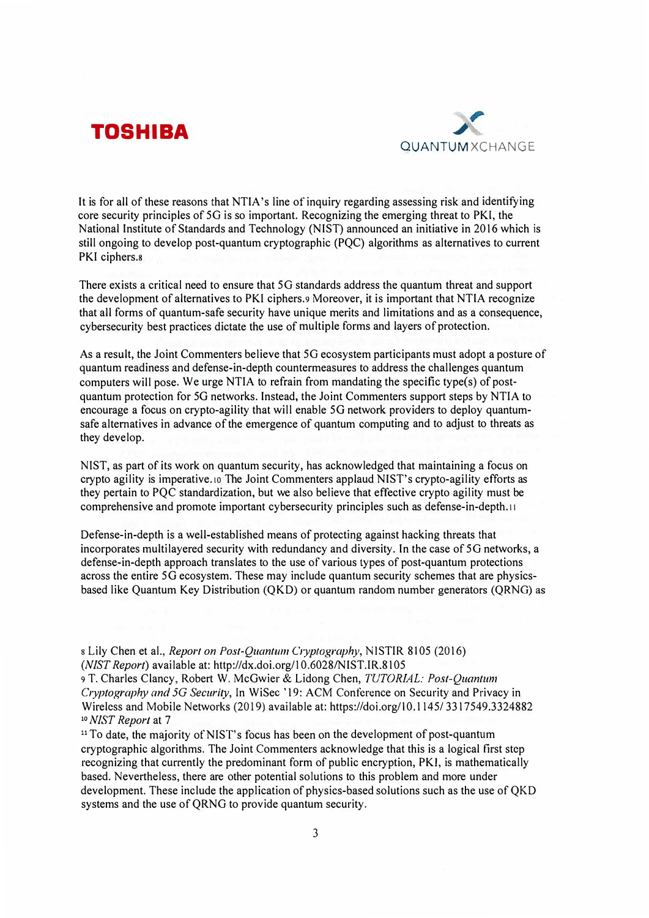



It is for all of these reasons that NTIA's line of inquiry regarding assessing risk and identifying core security principles of 5G is so important. Recognizing the emerging threat to PK!, the National Institute of Standards and Technology (NIST) announced an initiative in 2016 which is still ongoing to develop post-quantum cryptographic (PQC) algorithms as alternatives to current PKI ciphers.<sup>8</sup>

There exists a critical need to ensure that 5G standards address the quantum threat and support the development of alternatives to PKI ciphers.<sup>9</sup> Moreover, it is important that NTIA recognize that all forms of quantum-safe security have unique merits and limitations and as a consequence, cybersecurity best practices dictate the use of multiple forms and layers of protection.

As a result, the Joint Commenters believe that 5G ecosystem participants must adopt a posture of quantum readiness and defense-in-depth countermeasures to address the challenges quantum computers will pose. We urge NTIA to refrain from mandating the specific type(s) of postquantum protection for 5G networks. Instead, the Joint Commenters support steps by NTIA to encourage a focus on crypto-agility that will enable 5G network providers to deploy quantumsafe alternatives in advance of the emergence of quantum computing and to adjust to threats as they develop.

NIST, as part of its work on quantum security, has acknowledged that maintaining a focus on crypto agility is imperative.10 The Joint Commenters applaud NIST's crypto-agility efforts as they pertain to PQC standardization, but we also believe that effective crypto agility must be comprehensive and promote important cybersecurity principles such as defense-in-depth.11

Defense-in-depth is a well-established means of protecting against hacking threats that incorporates multilayered security with redundancy and diversity. In the case of 5G networks, a defense-in-depth approach translates to the use of various types of post-quantum protections across the entire 5G ecosystem. These may include quantum security schemes that are physicsbased like Quantum Key Distribution (QKD) or quantum random number generators (QRNG) as

s Lily Chen et al., *Report on Post-Quantum C1yptography,* N !STIR 8105 (2016) *(NIST Report)* available at: http://dx.doi.org/l 0.6028/NIST.IR.8105

9 T. Charles Clancy, Robert W. McGwier & Lidong Chen, *TUTORIAL: Post-Quantum Cryptography and 5G Security, In WiSec '19: ACM Conference on Security and Privacy in* Wireless and Mobile Networks (2019) available at: https://doi.org/l 0.1145/ 3317549.3324882 **<sup>10</sup>***NIST Report* at 7

<sup>11</sup>To date, the majority of NIST's focus has been on the development of post-quantum cryptographic algorithms. The Joint Commenters acknowledge that this is a logical first step recognizing that currently the predominant form of public encryption, PKI, is mathematically based. Nevertheless, there are other potential solutions to this problem and more under development. These include the application of physics-based solutions such as the use of QKD systems and the use of QRNG to provide quantum security.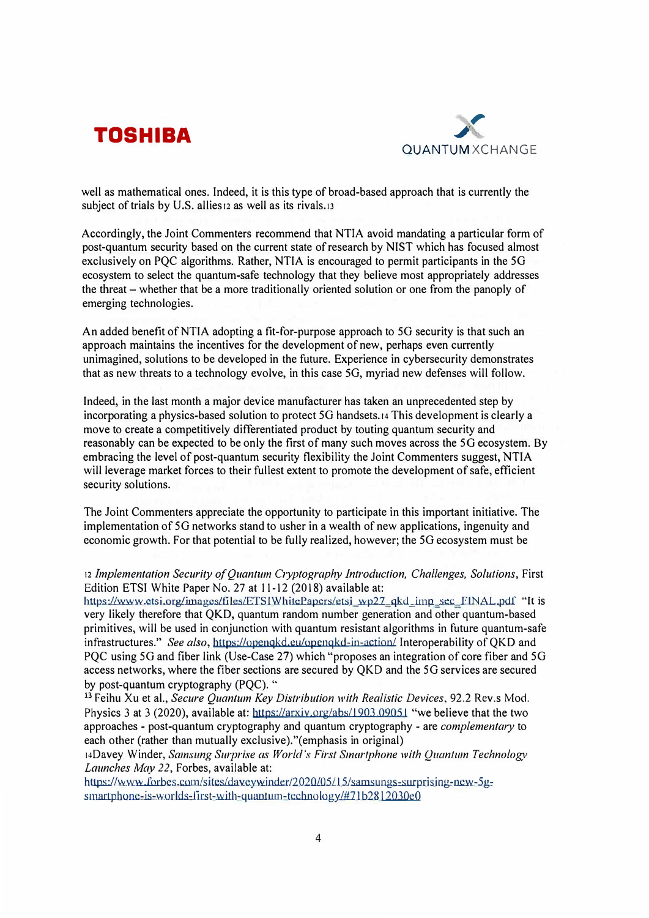



well as mathematical ones. Indeed, it is this type of broad-based approach that is currently the subject of trials by U.S. allies12 as well as its rivals.13

Accordingly, the Joint Commenters recommend that NTIA avoid mandating a particular form of post-quantum security based on the current state of research by NIST which has focused almost exclusively on PQC algorithms. Rather, NTIA is encouraged to permit participants in the 5G ecosystem to select the quantum-safe technology that they believe most appropriately addresses the threat - whether that be a more traditionally oriented solution or one from the panoply of emerging technologies.

An added benefit of NTIA adopting a fit-for-purpose approach to 5G security is that such an approach maintains the incentives for the development of new, perhaps even currently unimagined, solutions to be developed in the future. Experience in cybersecurity demonstrates that as new threats to a technology evolve, in this case SG, myriad new defenses will follow.

Indeed, in the last month a major device manufacturer has taken an unprecedented step by incorporating a physics-based solution to protect 50 handsets.14 This development is clearly a move to create a competitively differentiated product by touting quantum security and reasonably can be expected to be only the first of many such moves across the 50 ecosystem. By embracing the level of post-quantum security flexibility the Joint Commenters suggest, NTIA will leverage market forces to their fullest extent to promote the development of safe, efficient security solutions.

The Joint Commenters appreciate the opportunity to participate in this important initiative. The implementation of SG networks stand to usher in a wealth of new applications, ingenuity and economic growth. For that potential to be fully realized, however; the 5G ecosystem must be

## 12 Implementation Security of Quantum Cryptography Introduction, Challenges, Solutions, First Edition ETSI White Paper No. 27 at 11-12 (2018) available at:

https://www.ctsi.org/images/files/ETSIWhitePapers/etsi\_wp27\_qkd\_imp\_sec\_FINAL.pdf "It is very likely therefore that QKD, quantum random number generation and other quantum-based primitives, will be used in conjunction with quantum resistant algorithms in future quantum-safe infrastructures." *See also*, https://openqkd.eu/openqkd-in-action/ Interoperability of OKD and PQC using 5G and fiber link (Use-Case 27) which "proposes an integration of core fiber and 5G access networks, where the fiber sections are secured by QKD and the SG services are secured by post-quantum cryptography (POC). "

<sup>13</sup> Feihu Xu et al., *Secure Quantum Key Distribution with Realistic Devices*, 92.2 Rev.s Mod. Physics 3 at 3 (2020), available at: https://arxiv.org/abs/1903 09051 "we believe that the two approaches - post-quantum cryptography and quantum cryptography - are *complementary* to each other (rather than mutually exclusive)."(emphasis in original)

14Oavey Winder, *Samsung Surprise as World's First Smartphone with Quantum Technology Launches May 22,* Forbes, available at:

https://www.forbes.com/sites/daveywinder/2020/05/15/samsungs-surprising-new-5g $s$ martphone-is-worlds-first-with-quantum-technology/#71b2812030e0